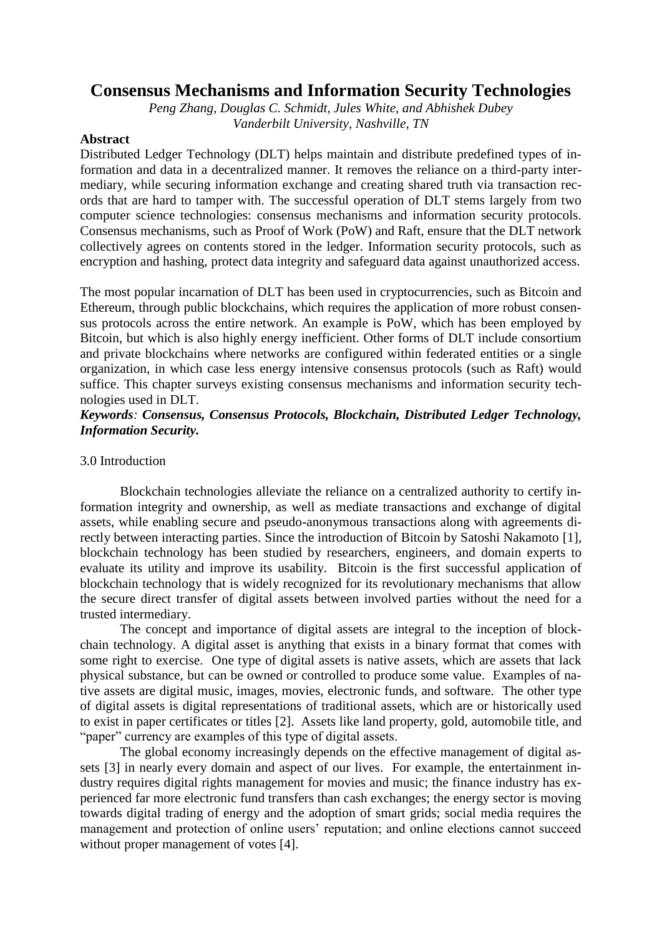# **Consensus Mechanisms and Information Security Technologies**

*Peng Zhang, Douglas C. Schmidt, Jules White, and Abhishek Dubey Vanderbilt University, Nashville, TN*

## **Abstract**

Distributed Ledger Technology (DLT) helps maintain and distribute predefined types of information and data in a decentralized manner. It removes the reliance on a third-party intermediary, while securing information exchange and creating shared truth via transaction records that are hard to tamper with. The successful operation of DLT stems largely from two computer science technologies: consensus mechanisms and information security protocols. Consensus mechanisms, such as Proof of Work (PoW) and Raft, ensure that the DLT network collectively agrees on contents stored in the ledger. Information security protocols, such as encryption and hashing, protect data integrity and safeguard data against unauthorized access.

The most popular incarnation of DLT has been used in cryptocurrencies, such as Bitcoin and Ethereum, through public blockchains, which requires the application of more robust consensus protocols across the entire network. An example is PoW, which has been employed by Bitcoin, but which is also highly energy inefficient. Other forms of DLT include consortium and private blockchains where networks are configured within federated entities or a single organization, in which case less energy intensive consensus protocols (such as Raft) would suffice. This chapter surveys existing consensus mechanisms and information security technologies used in DLT.

# *Keywords: Consensus, Consensus Protocols, Blockchain, Distributed Ledger Technology, Information Security.*

### 3.0 Introduction

Blockchain technologies alleviate the reliance on a centralized authority to certify information integrity and ownership, as well as mediate transactions and exchange of digital assets, while enabling secure and pseudo-anonymous transactions along with agreements directly between interacting parties. Since the introduction of Bitcoin by Satoshi Nakamoto [1], blockchain technology has been studied by researchers, engineers, and domain experts to evaluate its utility and improve its usability. Bitcoin is the first successful application of blockchain technology that is widely recognized for its revolutionary mechanisms that allow the secure direct transfer of digital assets between involved parties without the need for a trusted intermediary.

The concept and importance of digital assets are integral to the inception of blockchain technology. A digital asset is anything that exists in a binary format that comes with some right to exercise. One type of digital assets is native assets, which are assets that lack physical substance, but can be owned or controlled to produce some value. Examples of native assets are digital music, images, movies, electronic funds, and software. The other type of digital assets is digital representations of traditional assets, which are or historically used to exist in paper certificates or titles [2]. Assets like land property, gold, automobile title, and "paper" currency are examples of this type of digital assets.

The global economy increasingly depends on the effective management of digital assets [3] in nearly every domain and aspect of our lives. For example, the entertainment industry requires digital rights management for movies and music; the finance industry has experienced far more electronic fund transfers than cash exchanges; the energy sector is moving towards digital trading of energy and the adoption of smart grids; social media requires the management and protection of online users' reputation; and online elections cannot succeed without proper management of votes [4].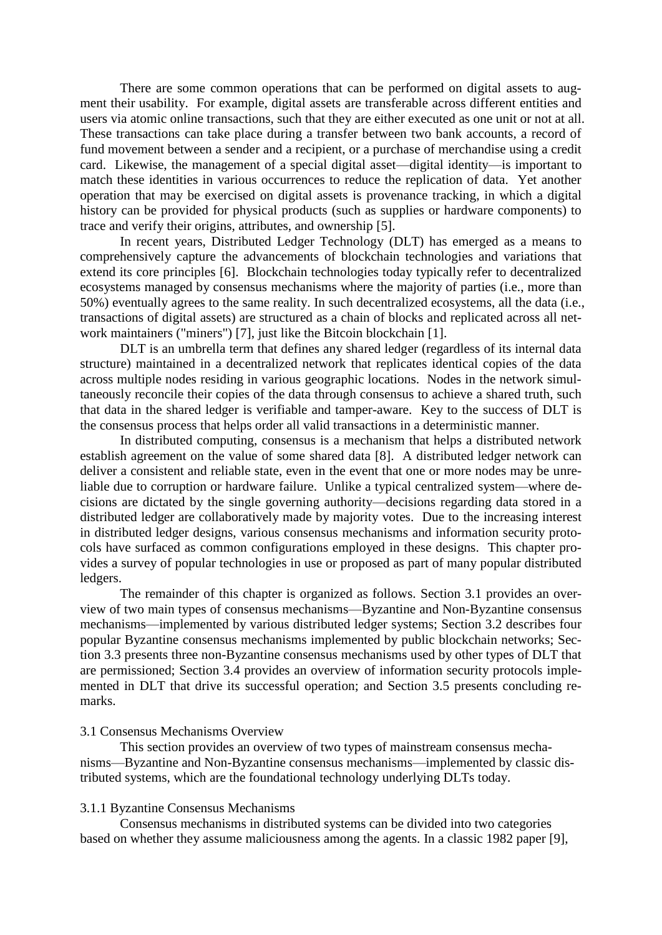There are some common operations that can be performed on digital assets to augment their usability. For example, digital assets are transferable across different entities and users via atomic online transactions, such that they are either executed as one unit or not at all. These transactions can take place during a transfer between two bank accounts, a record of fund movement between a sender and a recipient, or a purchase of merchandise using a credit card. Likewise, the management of a special digital asset—digital identity—is important to match these identities in various occurrences to reduce the replication of data. Yet another operation that may be exercised on digital assets is provenance tracking, in which a digital history can be provided for physical products (such as supplies or hardware components) to trace and verify their origins, attributes, and ownership [5].

In recent years, Distributed Ledger Technology (DLT) has emerged as a means to comprehensively capture the advancements of blockchain technologies and variations that extend its core principles [6]. Blockchain technologies today typically refer to decentralized ecosystems managed by consensus mechanisms where the majority of parties (i.e., more than 50%) eventually agrees to the same reality. In such decentralized ecosystems, all the data (i.e., transactions of digital assets) are structured as a chain of blocks and replicated across all network maintainers ("miners") [7], just like the Bitcoin blockchain [1].

DLT is an umbrella term that defines any shared ledger (regardless of its internal data structure) maintained in a decentralized network that replicates identical copies of the data across multiple nodes residing in various geographic locations. Nodes in the network simultaneously reconcile their copies of the data through consensus to achieve a shared truth, such that data in the shared ledger is verifiable and tamper-aware. Key to the success of DLT is the consensus process that helps order all valid transactions in a deterministic manner.

In distributed computing, consensus is a mechanism that helps a distributed network establish agreement on the value of some shared data [8]. A distributed ledger network can deliver a consistent and reliable state, even in the event that one or more nodes may be unreliable due to corruption or hardware failure. Unlike a typical centralized system—where decisions are dictated by the single governing authority—decisions regarding data stored in a distributed ledger are collaboratively made by majority votes. Due to the increasing interest in distributed ledger designs, various consensus mechanisms and information security protocols have surfaced as common configurations employed in these designs. This chapter provides a survey of popular technologies in use or proposed as part of many popular distributed ledgers.

The remainder of this chapter is organized as follows. Section 3.1 provides an overview of two main types of consensus mechanisms—Byzantine and Non-Byzantine consensus mechanisms—implemented by various distributed ledger systems; Section 3.2 describes four popular Byzantine consensus mechanisms implemented by public blockchain networks; Section 3.3 presents three non-Byzantine consensus mechanisms used by other types of DLT that are permissioned; Section 3.4 provides an overview of information security protocols implemented in DLT that drive its successful operation; and Section 3.5 presents concluding remarks.

#### 3.1 Consensus Mechanisms Overview

This section provides an overview of two types of mainstream consensus mechanisms—Byzantine and Non-Byzantine consensus mechanisms—implemented by classic distributed systems, which are the foundational technology underlying DLTs today.

#### 3.1.1 Byzantine Consensus Mechanisms

Consensus mechanisms in distributed systems can be divided into two categories based on whether they assume maliciousness among the agents. In a classic 1982 paper [9],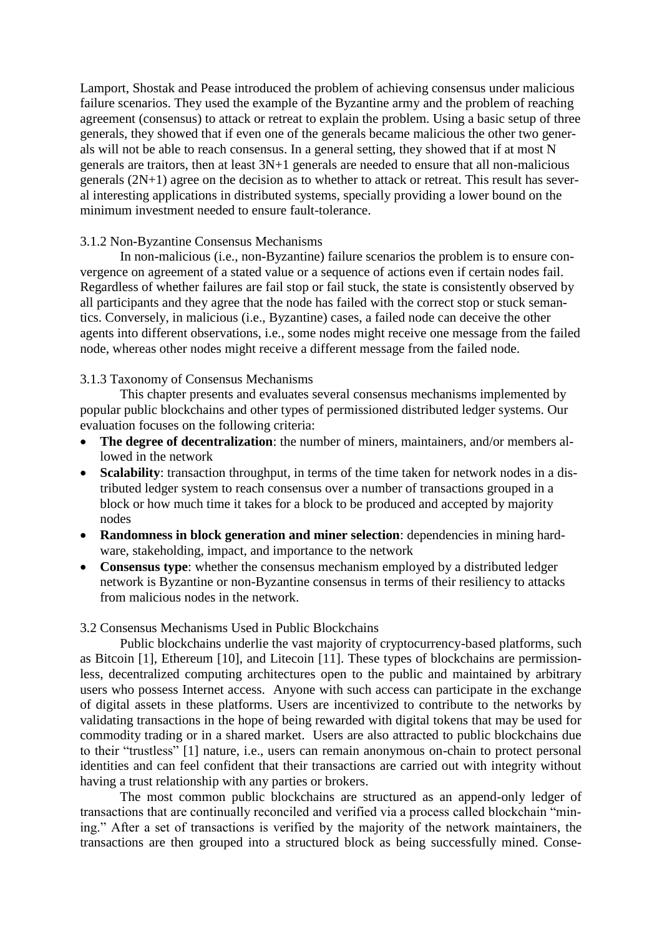Lamport, Shostak and Pease introduced the problem of achieving consensus under malicious failure scenarios. They used the example of the Byzantine army and the problem of reaching agreement (consensus) to attack or retreat to explain the problem. Using a basic setup of three generals, they showed that if even one of the generals became malicious the other two generals will not be able to reach consensus. In a general setting, they showed that if at most N generals are traitors, then at least 3N+1 generals are needed to ensure that all non-malicious generals (2N+1) agree on the decision as to whether to attack or retreat. This result has several interesting applications in distributed systems, specially providing a lower bound on the minimum investment needed to ensure fault-tolerance.

## 3.1.2 Non-Byzantine Consensus Mechanisms

In non-malicious (i.e., non-Byzantine) failure scenarios the problem is to ensure convergence on agreement of a stated value or a sequence of actions even if certain nodes fail. Regardless of whether failures are fail stop or fail stuck, the state is consistently observed by all participants and they agree that the node has failed with the correct stop or stuck semantics. Conversely, in malicious (i.e., Byzantine) cases, a failed node can deceive the other agents into different observations, i.e., some nodes might receive one message from the failed node, whereas other nodes might receive a different message from the failed node.

## 3.1.3 Taxonomy of Consensus Mechanisms

This chapter presents and evaluates several consensus mechanisms implemented by popular public blockchains and other types of permissioned distributed ledger systems. Our evaluation focuses on the following criteria:

- **The degree of decentralization**: the number of miners, maintainers, and/or members allowed in the network
- **Scalability**: transaction throughput, in terms of the time taken for network nodes in a distributed ledger system to reach consensus over a number of transactions grouped in a block or how much time it takes for a block to be produced and accepted by majority nodes
- **Randomness in block generation and miner selection**: dependencies in mining hardware, stakeholding, impact, and importance to the network
- **Consensus type**: whether the consensus mechanism employed by a distributed ledger network is Byzantine or non-Byzantine consensus in terms of their resiliency to attacks from malicious nodes in the network.

## 3.2 Consensus Mechanisms Used in Public Blockchains

Public blockchains underlie the vast majority of cryptocurrency-based platforms, such as Bitcoin [1], Ethereum [10], and Litecoin [11]. These types of blockchains are permissionless, decentralized computing architectures open to the public and maintained by arbitrary users who possess Internet access. Anyone with such access can participate in the exchange of digital assets in these platforms. Users are incentivized to contribute to the networks by validating transactions in the hope of being rewarded with digital tokens that may be used for commodity trading or in a shared market. Users are also attracted to public blockchains due to their "trustless" [1] nature, i.e., users can remain anonymous on-chain to protect personal identities and can feel confident that their transactions are carried out with integrity without having a trust relationship with any parties or brokers.

The most common public blockchains are structured as an append-only ledger of transactions that are continually reconciled and verified via a process called blockchain "mining." After a set of transactions is verified by the majority of the network maintainers, the transactions are then grouped into a structured block as being successfully mined. Conse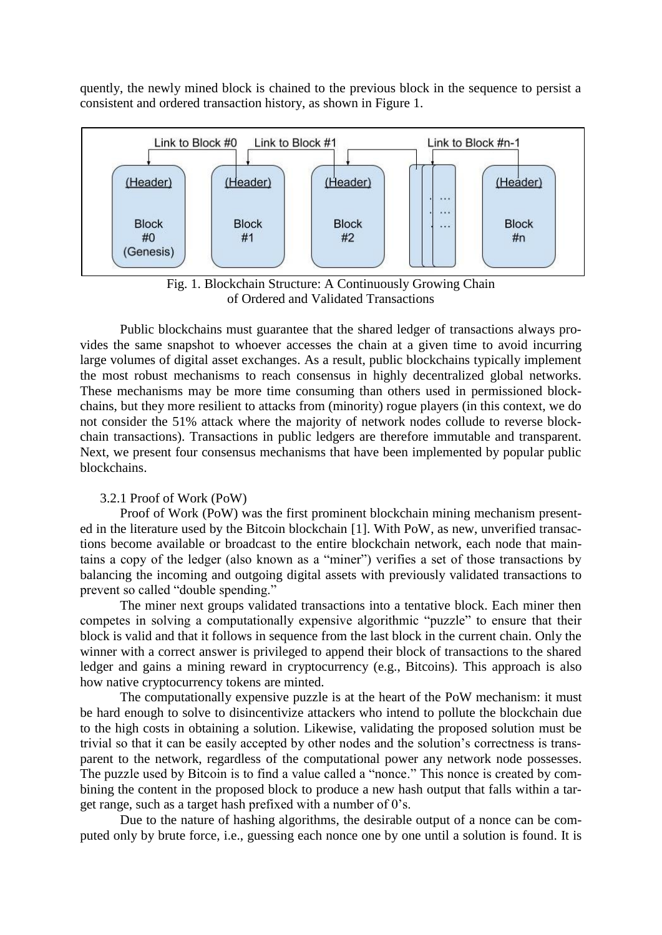quently, the newly mined block is chained to the previous block in the sequence to persist a consistent and ordered transaction history, as shown in Figure 1.



Fig. 1. Blockchain Structure: A Continuously Growing Chain of Ordered and Validated Transactions

Public blockchains must guarantee that the shared ledger of transactions always provides the same snapshot to whoever accesses the chain at a given time to avoid incurring large volumes of digital asset exchanges. As a result, public blockchains typically implement the most robust mechanisms to reach consensus in highly decentralized global networks. These mechanisms may be more time consuming than others used in permissioned blockchains, but they more resilient to attacks from (minority) rogue players (in this context, we do not consider the 51% attack where the majority of network nodes collude to reverse blockchain transactions). Transactions in public ledgers are therefore immutable and transparent. Next, we present four consensus mechanisms that have been implemented by popular public blockchains.

#### 3.2.1 Proof of Work (PoW)

Proof of Work (PoW) was the first prominent blockchain mining mechanism presented in the literature used by the Bitcoin blockchain [1]. With PoW, as new, unverified transactions become available or broadcast to the entire blockchain network, each node that maintains a copy of the ledger (also known as a "miner") verifies a set of those transactions by balancing the incoming and outgoing digital assets with previously validated transactions to prevent so called "double spending."

The miner next groups validated transactions into a tentative block. Each miner then competes in solving a computationally expensive algorithmic "puzzle" to ensure that their block is valid and that it follows in sequence from the last block in the current chain. Only the winner with a correct answer is privileged to append their block of transactions to the shared ledger and gains a mining reward in cryptocurrency (e.g., Bitcoins). This approach is also how native cryptocurrency tokens are minted.

The computationally expensive puzzle is at the heart of the PoW mechanism: it must be hard enough to solve to disincentivize attackers who intend to pollute the blockchain due to the high costs in obtaining a solution. Likewise, validating the proposed solution must be trivial so that it can be easily accepted by other nodes and the solution's correctness is transparent to the network, regardless of the computational power any network node possesses. The puzzle used by Bitcoin is to find a value called a "nonce." This nonce is created by combining the content in the proposed block to produce a new hash output that falls within a target range, such as a target hash prefixed with a number of 0's.

Due to the nature of hashing algorithms, the desirable output of a nonce can be computed only by brute force, i.e., guessing each nonce one by one until a solution is found. It is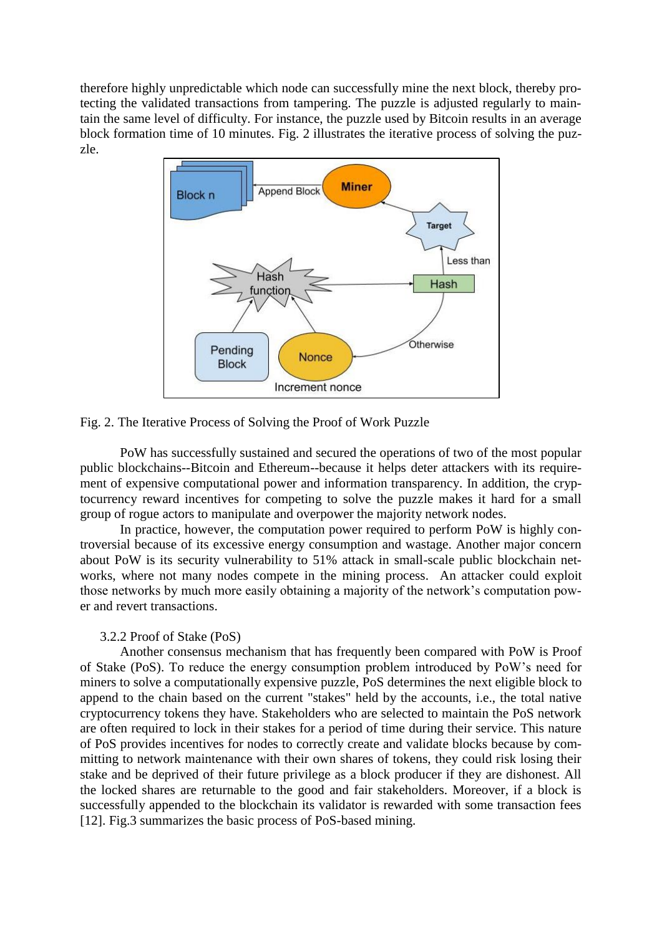therefore highly unpredictable which node can successfully mine the next block, thereby protecting the validated transactions from tampering. The puzzle is adjusted regularly to maintain the same level of difficulty. For instance, the puzzle used by Bitcoin results in an average block formation time of 10 minutes. Fig. 2 illustrates the iterative process of solving the puzzle.





PoW has successfully sustained and secured the operations of two of the most popular public blockchains--Bitcoin and Ethereum--because it helps deter attackers with its requirement of expensive computational power and information transparency. In addition, the cryptocurrency reward incentives for competing to solve the puzzle makes it hard for a small group of rogue actors to manipulate and overpower the majority network nodes.

In practice, however, the computation power required to perform PoW is highly controversial because of its excessive energy consumption and wastage. Another major concern about PoW is its security vulnerability to 51% attack in small-scale public blockchain networks, where not many nodes compete in the mining process. An attacker could exploit those networks by much more easily obtaining a majority of the network's computation power and revert transactions.

#### 3.2.2 Proof of Stake (PoS)

Another consensus mechanism that has frequently been compared with PoW is Proof of Stake (PoS). To reduce the energy consumption problem introduced by PoW's need for miners to solve a computationally expensive puzzle, PoS determines the next eligible block to append to the chain based on the current "stakes" held by the accounts, i.e., the total native cryptocurrency tokens they have. Stakeholders who are selected to maintain the PoS network are often required to lock in their stakes for a period of time during their service. This nature of PoS provides incentives for nodes to correctly create and validate blocks because by committing to network maintenance with their own shares of tokens, they could risk losing their stake and be deprived of their future privilege as a block producer if they are dishonest. All the locked shares are returnable to the good and fair stakeholders. Moreover, if a block is successfully appended to the blockchain its validator is rewarded with some transaction fees [12]. Fig.3 summarizes the basic process of PoS-based mining.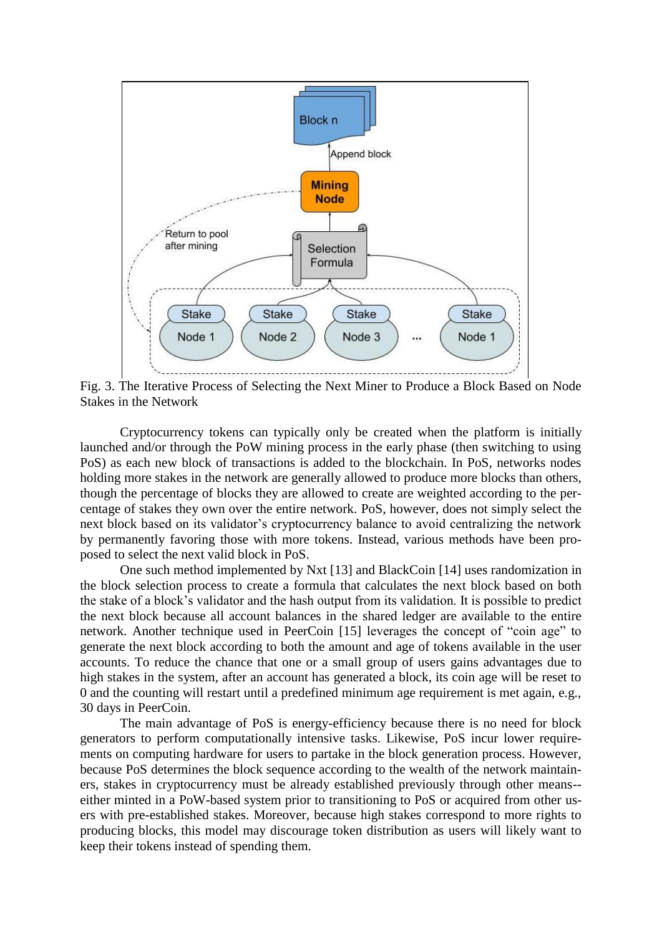

Fig. 3. The Iterative Process of Selecting the Next Miner to Produce a Block Based on Node Stakes in the Network

Cryptocurrency tokens can typically only be created when the platform is initially launched and/or through the PoW mining process in the early phase (then switching to using PoS) as each new block of transactions is added to the blockchain. In PoS, networks nodes holding more stakes in the network are generally allowed to produce more blocks than others, though the percentage of blocks they are allowed to create are weighted according to the percentage of stakes they own over the entire network. PoS, however, does not simply select the next block based on its validator's cryptocurrency balance to avoid centralizing the network by permanently favoring those with more tokens. Instead, various methods have been proposed to select the next valid block in PoS.

One such method implemented by Nxt [13] and BlackCoin [14] uses randomization in the block selection process to create a formula that calculates the next block based on both the stake of a block's validator and the hash output from its validation. It is possible to predict the next block because all account balances in the shared ledger are available to the entire network. Another technique used in PeerCoin [15] leverages the concept of "coin age" to generate the next block according to both the amount and age of tokens available in the user accounts. To reduce the chance that one or a small group of users gains advantages due to high stakes in the system, after an account has generated a block, its coin age will be reset to 0 and the counting will restart until a predefined minimum age requirement is met again, e.g., 30 days in PeerCoin.

The main advantage of PoS is energy-efficiency because there is no need for block generators to perform computationally intensive tasks. Likewise, PoS incur lower requirements on computing hardware for users to partake in the block generation process. However, because PoS determines the block sequence according to the wealth of the network maintainers, stakes in cryptocurrency must be already established previously through other means- either minted in a PoW-based system prior to transitioning to PoS or acquired from other users with pre-established stakes. Moreover, because high stakes correspond to more rights to producing blocks, this model may discourage token distribution as users will likely want to keep their tokens instead of spending them.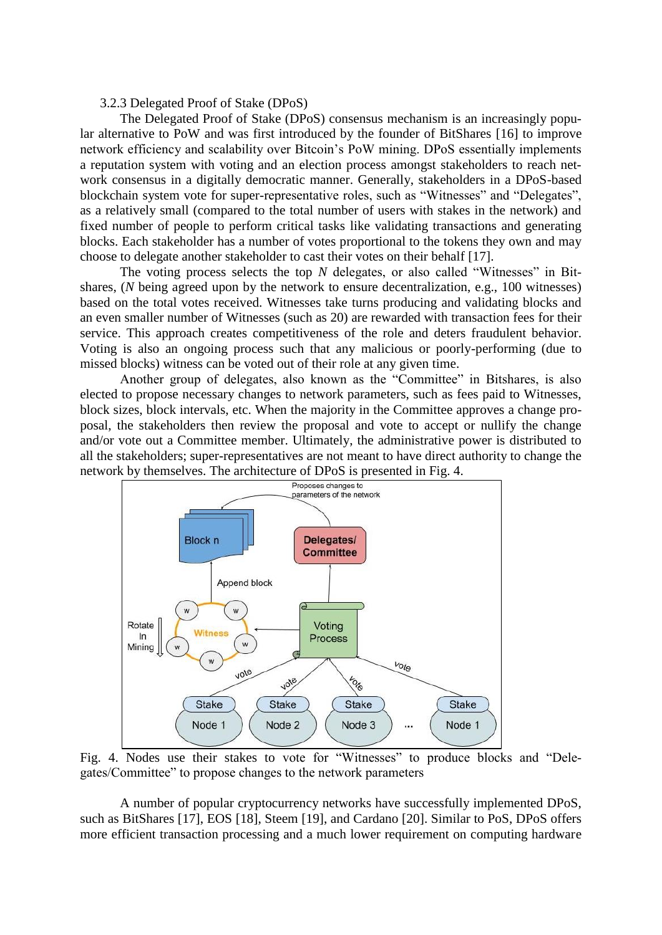#### 3.2.3 Delegated Proof of Stake (DPoS)

The Delegated Proof of Stake (DPoS) consensus mechanism is an increasingly popular alternative to PoW and was first introduced by the founder of BitShares [16] to improve network efficiency and scalability over Bitcoin's PoW mining. DPoS essentially implements a reputation system with voting and an election process amongst stakeholders to reach network consensus in a digitally democratic manner. Generally, stakeholders in a DPoS-based blockchain system vote for super-representative roles, such as "Witnesses" and "Delegates", as a relatively small (compared to the total number of users with stakes in the network) and fixed number of people to perform critical tasks like validating transactions and generating blocks. Each stakeholder has a number of votes proportional to the tokens they own and may choose to delegate another stakeholder to cast their votes on their behalf [17].

The voting process selects the top *N* delegates, or also called "Witnesses" in Bitshares, (*N* being agreed upon by the network to ensure decentralization, e.g., 100 witnesses) based on the total votes received. Witnesses take turns producing and validating blocks and an even smaller number of Witnesses (such as 20) are rewarded with transaction fees for their service. This approach creates competitiveness of the role and deters fraudulent behavior. Voting is also an ongoing process such that any malicious or poorly-performing (due to missed blocks) witness can be voted out of their role at any given time.

Another group of delegates, also known as the "Committee" in Bitshares, is also elected to propose necessary changes to network parameters, such as fees paid to Witnesses, block sizes, block intervals, etc. When the majority in the Committee approves a change proposal, the stakeholders then review the proposal and vote to accept or nullify the change and/or vote out a Committee member. Ultimately, the administrative power is distributed to all the stakeholders; super-representatives are not meant to have direct authority to change the network by themselves. The architecture of DPoS is presented in Fig. 4.



Fig. 4. Nodes use their stakes to vote for "Witnesses" to produce blocks and "Delegates/Committee" to propose changes to the network parameters

A number of popular cryptocurrency networks have successfully implemented DPoS, such as BitShares [17], EOS [18], Steem [19], and Cardano [20]. Similar to PoS, DPoS offers more efficient transaction processing and a much lower requirement on computing hardware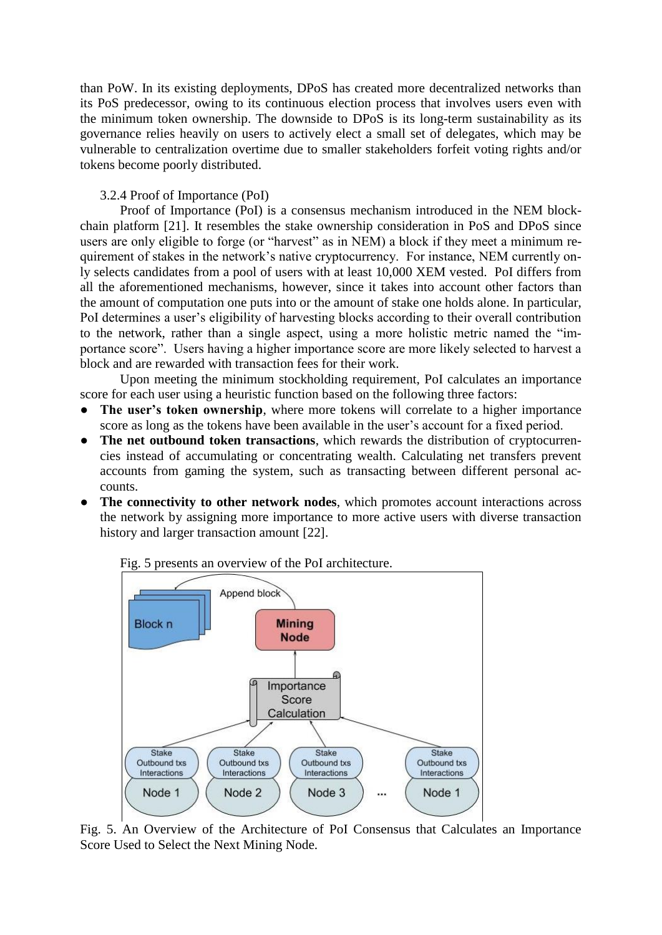than PoW. In its existing deployments, DPoS has created more decentralized networks than its PoS predecessor, owing to its continuous election process that involves users even with the minimum token ownership. The downside to DPoS is its long-term sustainability as its governance relies heavily on users to actively elect a small set of delegates, which may be vulnerable to centralization overtime due to smaller stakeholders forfeit voting rights and/or tokens become poorly distributed.

### 3.2.4 Proof of Importance (PoI)

Proof of Importance (PoI) is a consensus mechanism introduced in the NEM blockchain platform [21]. It resembles the stake ownership consideration in PoS and DPoS since users are only eligible to forge (or "harvest" as in NEM) a block if they meet a minimum requirement of stakes in the network's native cryptocurrency. For instance, NEM currently only selects candidates from a pool of users with at least 10,000 XEM vested. PoI differs from all the aforementioned mechanisms, however, since it takes into account other factors than the amount of computation one puts into or the amount of stake one holds alone. In particular, PoI determines a user's eligibility of harvesting blocks according to their overall contribution to the network, rather than a single aspect, using a more holistic metric named the "importance score". Users having a higher importance score are more likely selected to harvest a block and are rewarded with transaction fees for their work.

Upon meeting the minimum stockholding requirement, PoI calculates an importance score for each user using a heuristic function based on the following three factors:

- **The user's token ownership**, where more tokens will correlate to a higher importance score as long as the tokens have been available in the user's account for a fixed period.
- **The net outbound token transactions**, which rewards the distribution of cryptocurrencies instead of accumulating or concentrating wealth. Calculating net transfers prevent accounts from gaming the system, such as transacting between different personal accounts.
- **The connectivity to other network nodes**, which promotes account interactions across the network by assigning more importance to more active users with diverse transaction history and larger transaction amount [22].



Fig. 5 presents an overview of the PoI architecture.

Fig. 5. An Overview of the Architecture of PoI Consensus that Calculates an Importance Score Used to Select the Next Mining Node.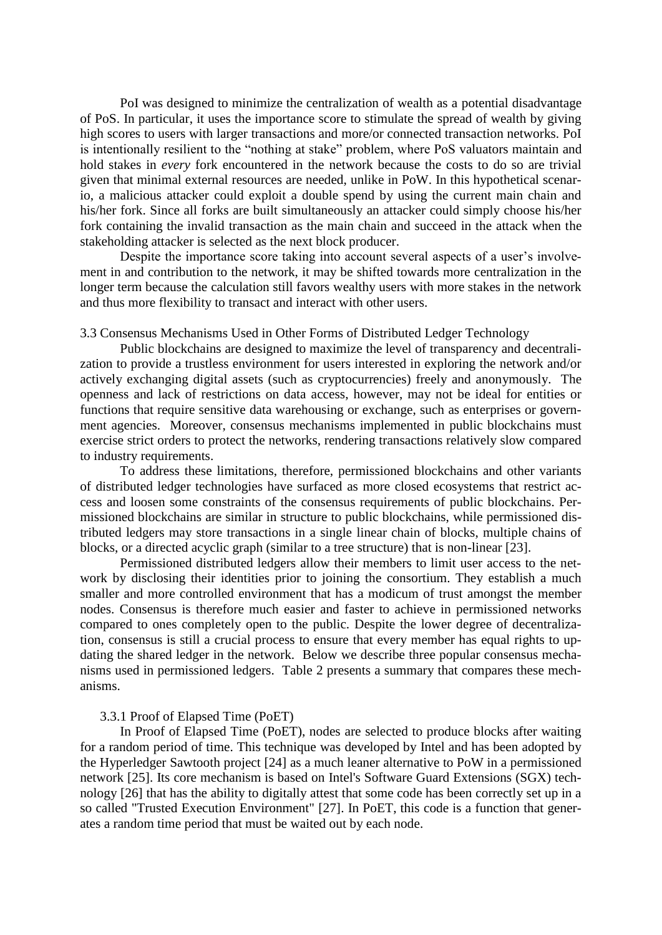PoI was designed to minimize the centralization of wealth as a potential disadvantage of PoS. In particular, it uses the importance score to stimulate the spread of wealth by giving high scores to users with larger transactions and more/or connected transaction networks. PoI is intentionally resilient to the "nothing at stake" problem, where PoS valuators maintain and hold stakes in *every* fork encountered in the network because the costs to do so are trivial given that minimal external resources are needed, unlike in PoW. In this hypothetical scenario, a malicious attacker could exploit a double spend by using the current main chain and his/her fork. Since all forks are built simultaneously an attacker could simply choose his/her fork containing the invalid transaction as the main chain and succeed in the attack when the stakeholding attacker is selected as the next block producer.

Despite the importance score taking into account several aspects of a user's involvement in and contribution to the network, it may be shifted towards more centralization in the longer term because the calculation still favors wealthy users with more stakes in the network and thus more flexibility to transact and interact with other users.

3.3 Consensus Mechanisms Used in Other Forms of Distributed Ledger Technology

Public blockchains are designed to maximize the level of transparency and decentralization to provide a trustless environment for users interested in exploring the network and/or actively exchanging digital assets (such as cryptocurrencies) freely and anonymously. The openness and lack of restrictions on data access, however, may not be ideal for entities or functions that require sensitive data warehousing or exchange, such as enterprises or government agencies. Moreover, consensus mechanisms implemented in public blockchains must exercise strict orders to protect the networks, rendering transactions relatively slow compared to industry requirements.

To address these limitations, therefore, permissioned blockchains and other variants of distributed ledger technologies have surfaced as more closed ecosystems that restrict access and loosen some constraints of the consensus requirements of public blockchains. Permissioned blockchains are similar in structure to public blockchains, while permissioned distributed ledgers may store transactions in a single linear chain of blocks, multiple chains of blocks, or a directed acyclic graph (similar to a tree structure) that is non-linear [23].

Permissioned distributed ledgers allow their members to limit user access to the network by disclosing their identities prior to joining the consortium. They establish a much smaller and more controlled environment that has a modicum of trust amongst the member nodes. Consensus is therefore much easier and faster to achieve in permissioned networks compared to ones completely open to the public. Despite the lower degree of decentralization, consensus is still a crucial process to ensure that every member has equal rights to updating the shared ledger in the network. Below we describe three popular consensus mechanisms used in permissioned ledgers. Table 2 presents a summary that compares these mechanisms.

### 3.3.1 Proof of Elapsed Time (PoET)

In Proof of Elapsed Time (PoET), nodes are selected to produce blocks after waiting for a random period of time. This technique was developed by Intel and has been adopted by the Hyperledger Sawtooth project [24] as a much leaner alternative to PoW in a permissioned network [25]. Its core mechanism is based on Intel's Software Guard Extensions (SGX) technology [26] that has the ability to digitally attest that some code has been correctly set up in a so called "Trusted Execution Environment" [27]. In PoET, this code is a function that generates a random time period that must be waited out by each node.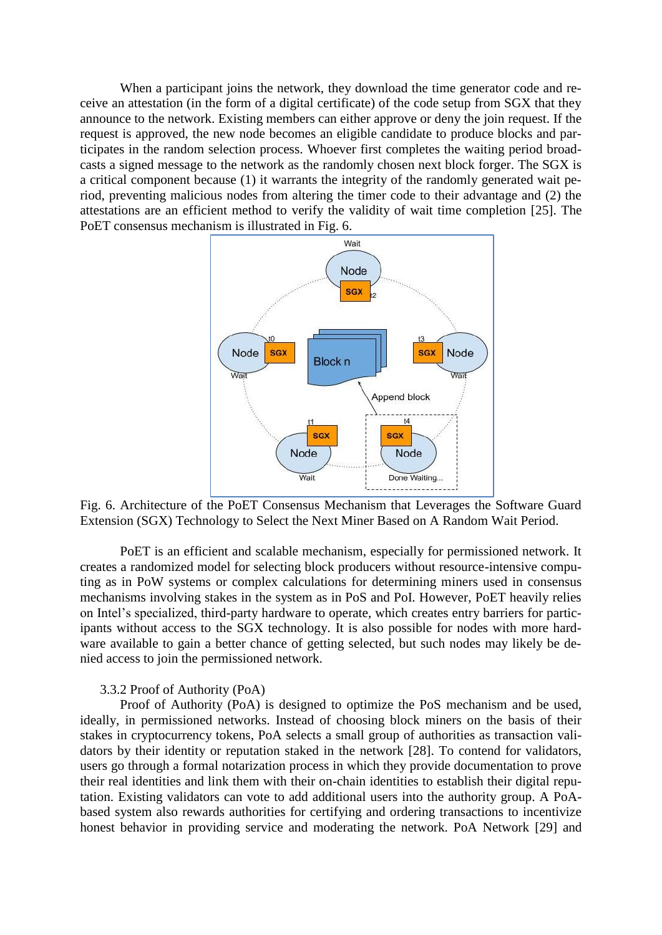When a participant joins the network, they download the time generator code and receive an attestation (in the form of a digital certificate) of the code setup from SGX that they announce to the network. Existing members can either approve or deny the join request. If the request is approved, the new node becomes an eligible candidate to produce blocks and participates in the random selection process. Whoever first completes the waiting period broadcasts a signed message to the network as the randomly chosen next block forger. The SGX is a critical component because (1) it warrants the integrity of the randomly generated wait period, preventing malicious nodes from altering the timer code to their advantage and (2) the attestations are an efficient method to verify the validity of wait time completion [25]. The PoET consensus mechanism is illustrated in Fig. 6.



Fig. 6. Architecture of the PoET Consensus Mechanism that Leverages the Software Guard Extension (SGX) Technology to Select the Next Miner Based on A Random Wait Period.

PoET is an efficient and scalable mechanism, especially for permissioned network. It creates a randomized model for selecting block producers without resource-intensive computing as in PoW systems or complex calculations for determining miners used in consensus mechanisms involving stakes in the system as in PoS and PoI. However, PoET heavily relies on Intel's specialized, third-party hardware to operate, which creates entry barriers for participants without access to the SGX technology. It is also possible for nodes with more hardware available to gain a better chance of getting selected, but such nodes may likely be denied access to join the permissioned network.

#### 3.3.2 Proof of Authority (PoA)

Proof of Authority (PoA) is designed to optimize the PoS mechanism and be used, ideally, in permissioned networks. Instead of choosing block miners on the basis of their stakes in cryptocurrency tokens, PoA selects a small group of authorities as transaction validators by their identity or reputation staked in the network [28]. To contend for validators, users go through a formal notarization process in which they provide documentation to prove their real identities and link them with their on-chain identities to establish their digital reputation. Existing validators can vote to add additional users into the authority group. A PoAbased system also rewards authorities for certifying and ordering transactions to incentivize honest behavior in providing service and moderating the network. PoA Network [29] and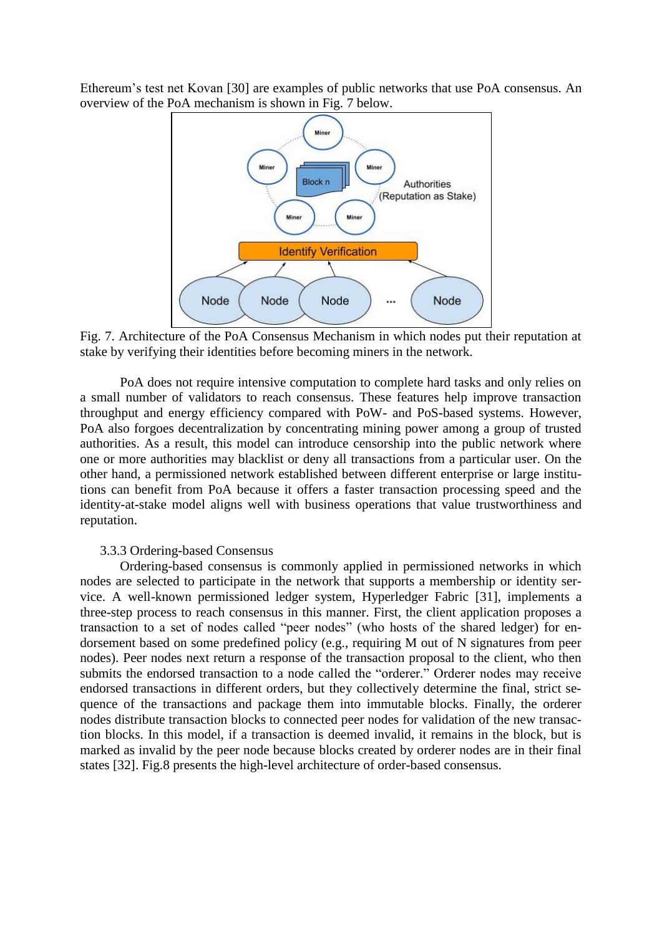Ethereum's test net Kovan [30] are examples of public networks that use PoA consensus. An overview of the PoA mechanism is shown in Fig. 7 below.



Fig. 7. Architecture of the PoA Consensus Mechanism in which nodes put their reputation at stake by verifying their identities before becoming miners in the network.

PoA does not require intensive computation to complete hard tasks and only relies on a small number of validators to reach consensus. These features help improve transaction throughput and energy efficiency compared with PoW- and PoS-based systems. However, PoA also forgoes decentralization by concentrating mining power among a group of trusted authorities. As a result, this model can introduce censorship into the public network where one or more authorities may blacklist or deny all transactions from a particular user. On the other hand, a permissioned network established between different enterprise or large institutions can benefit from PoA because it offers a faster transaction processing speed and the identity-at-stake model aligns well with business operations that value trustworthiness and reputation.

### 3.3.3 Ordering-based Consensus

Ordering-based consensus is commonly applied in permissioned networks in which nodes are selected to participate in the network that supports a membership or identity service. A well-known permissioned ledger system, Hyperledger Fabric [31], implements a three-step process to reach consensus in this manner. First, the client application proposes a transaction to a set of nodes called "peer nodes" (who hosts of the shared ledger) for endorsement based on some predefined policy (e.g., requiring M out of N signatures from peer nodes). Peer nodes next return a response of the transaction proposal to the client, who then submits the endorsed transaction to a node called the "orderer." Orderer nodes may receive endorsed transactions in different orders, but they collectively determine the final, strict sequence of the transactions and package them into immutable blocks. Finally, the orderer nodes distribute transaction blocks to connected peer nodes for validation of the new transaction blocks. In this model, if a transaction is deemed invalid, it remains in the block, but is marked as invalid by the peer node because blocks created by orderer nodes are in their final states [32]. Fig.8 presents the high-level architecture of order-based consensus.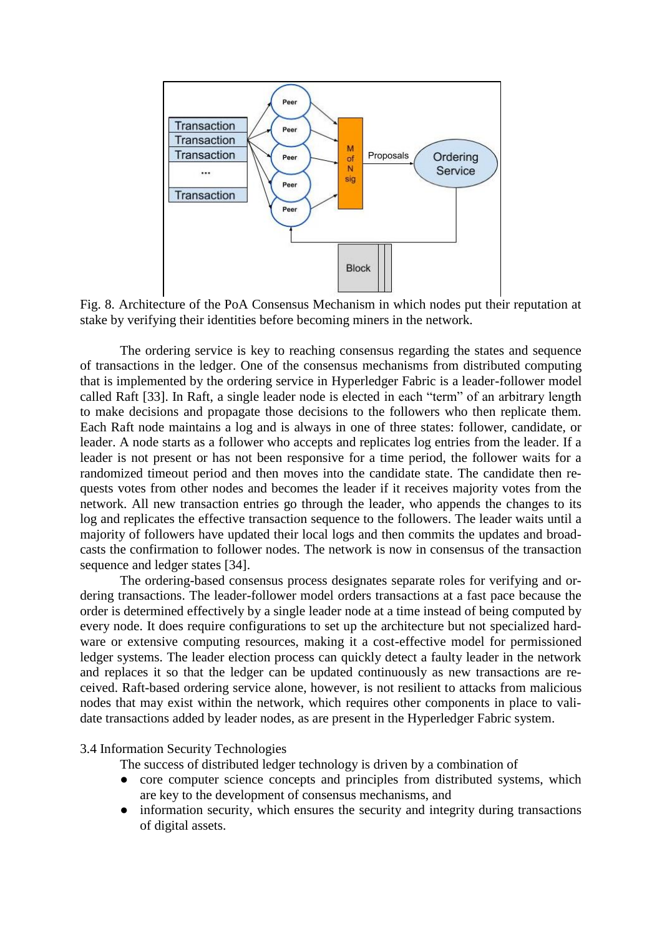

Fig. 8. Architecture of the PoA Consensus Mechanism in which nodes put their reputation at stake by verifying their identities before becoming miners in the network.

The ordering service is key to reaching consensus regarding the states and sequence of transactions in the ledger. One of the consensus mechanisms from distributed computing that is implemented by the ordering service in Hyperledger Fabric is a leader-follower model called Raft [33]. In Raft, a single leader node is elected in each "term" of an arbitrary length to make decisions and propagate those decisions to the followers who then replicate them. Each Raft node maintains a log and is always in one of three states: follower, candidate, or leader. A node starts as a follower who accepts and replicates log entries from the leader. If a leader is not present or has not been responsive for a time period, the follower waits for a randomized timeout period and then moves into the candidate state. The candidate then requests votes from other nodes and becomes the leader if it receives majority votes from the network. All new transaction entries go through the leader, who appends the changes to its log and replicates the effective transaction sequence to the followers. The leader waits until a majority of followers have updated their local logs and then commits the updates and broadcasts the confirmation to follower nodes. The network is now in consensus of the transaction sequence and ledger states [34].

The ordering-based consensus process designates separate roles for verifying and ordering transactions. The leader-follower model orders transactions at a fast pace because the order is determined effectively by a single leader node at a time instead of being computed by every node. It does require configurations to set up the architecture but not specialized hardware or extensive computing resources, making it a cost-effective model for permissioned ledger systems. The leader election process can quickly detect a faulty leader in the network and replaces it so that the ledger can be updated continuously as new transactions are received. Raft-based ordering service alone, however, is not resilient to attacks from malicious nodes that may exist within the network, which requires other components in place to validate transactions added by leader nodes, as are present in the Hyperledger Fabric system.

### 3.4 Information Security Technologies

The success of distributed ledger technology is driven by a combination of

- core computer science concepts and principles from distributed systems, which are key to the development of consensus mechanisms, and
- information security, which ensures the security and integrity during transactions of digital assets.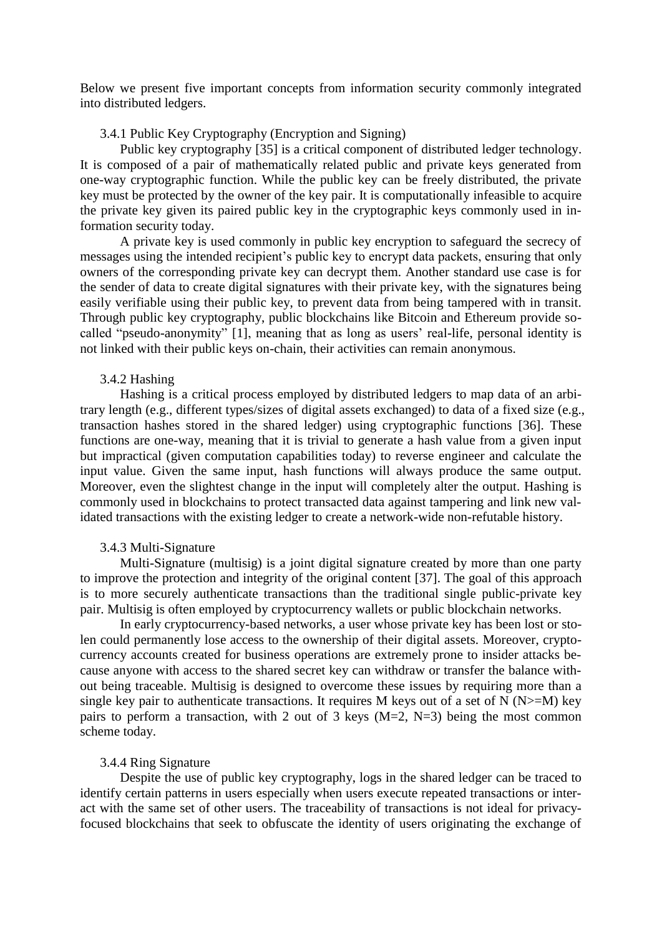Below we present five important concepts from information security commonly integrated into distributed ledgers.

#### 3.4.1 Public Key Cryptography (Encryption and Signing)

Public key cryptography [35] is a critical component of distributed ledger technology. It is composed of a pair of mathematically related public and private keys generated from one-way cryptographic function. While the public key can be freely distributed, the private key must be protected by the owner of the key pair. It is computationally infeasible to acquire the private key given its paired public key in the cryptographic keys commonly used in information security today.

A private key is used commonly in public key encryption to safeguard the secrecy of messages using the intended recipient's public key to encrypt data packets, ensuring that only owners of the corresponding private key can decrypt them. Another standard use case is for the sender of data to create digital signatures with their private key, with the signatures being easily verifiable using their public key, to prevent data from being tampered with in transit. Through public key cryptography, public blockchains like Bitcoin and Ethereum provide socalled "pseudo-anonymity" [1], meaning that as long as users' real-life, personal identity is not linked with their public keys on-chain, their activities can remain anonymous.

#### 3.4.2 Hashing

Hashing is a critical process employed by distributed ledgers to map data of an arbitrary length (e.g., different types/sizes of digital assets exchanged) to data of a fixed size (e.g., transaction hashes stored in the shared ledger) using cryptographic functions [36]. These functions are one-way, meaning that it is trivial to generate a hash value from a given input but impractical (given computation capabilities today) to reverse engineer and calculate the input value. Given the same input, hash functions will always produce the same output. Moreover, even the slightest change in the input will completely alter the output. Hashing is commonly used in blockchains to protect transacted data against tampering and link new validated transactions with the existing ledger to create a network-wide non-refutable history.

#### 3.4.3 Multi-Signature

Multi-Signature (multisig) is a joint digital signature created by more than one party to improve the protection and integrity of the original content [37]. The goal of this approach is to more securely authenticate transactions than the traditional single public-private key pair. Multisig is often employed by cryptocurrency wallets or public blockchain networks.

In early cryptocurrency-based networks, a user whose private key has been lost or stolen could permanently lose access to the ownership of their digital assets. Moreover, cryptocurrency accounts created for business operations are extremely prone to insider attacks because anyone with access to the shared secret key can withdraw or transfer the balance without being traceable. Multisig is designed to overcome these issues by requiring more than a single key pair to authenticate transactions. It requires M keys out of a set of N ( $N>=M$ ) key pairs to perform a transaction, with 2 out of 3 keys (M=2, N=3) being the most common scheme today.

#### 3.4.4 Ring Signature

Despite the use of public key cryptography, logs in the shared ledger can be traced to identify certain patterns in users especially when users execute repeated transactions or interact with the same set of other users. The traceability of transactions is not ideal for privacyfocused blockchains that seek to obfuscate the identity of users originating the exchange of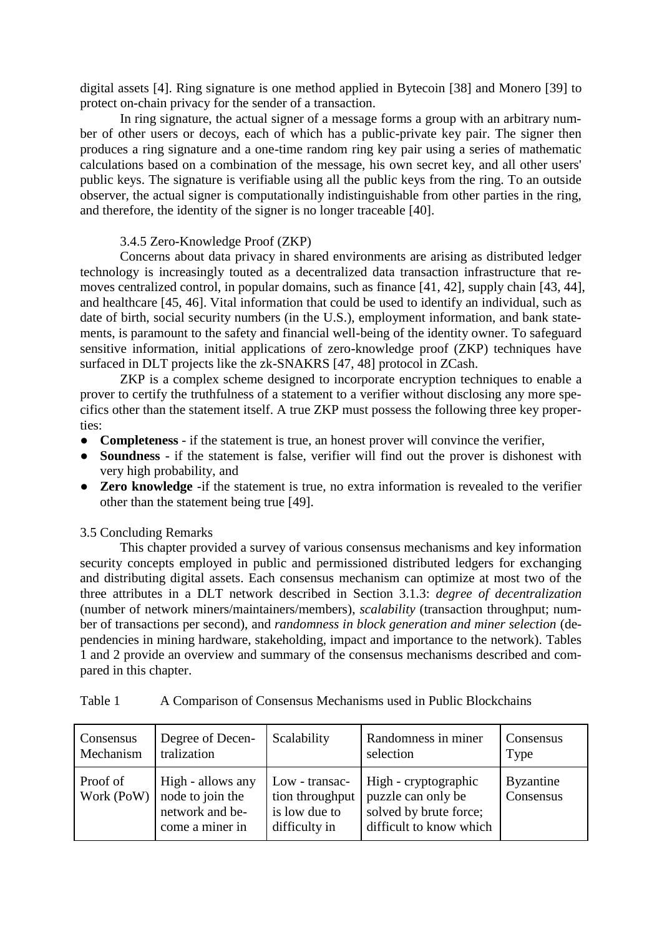digital assets [4]. Ring signature is one method applied in Bytecoin [38] and Monero [39] to protect on-chain privacy for the sender of a transaction.

In ring signature, the actual signer of a message forms a group with an arbitrary number of other users or decoys, each of which has a public-private key pair. The signer then produces a ring signature and a one-time random ring key pair using a series of mathematic calculations based on a combination of the message, his own secret key, and all other users' public keys. The signature is verifiable using all the public keys from the ring. To an outside observer, the actual signer is computationally indistinguishable from other parties in the ring, and therefore, the identity of the signer is no longer traceable [40].

# 3.4.5 Zero-Knowledge Proof (ZKP)

Concerns about data privacy in shared environments are arising as distributed ledger technology is increasingly touted as a decentralized data transaction infrastructure that removes centralized control, in popular domains, such as finance [41, 42], supply chain [43, 44], and healthcare [45, 46]. Vital information that could be used to identify an individual, such as date of birth, social security numbers (in the U.S.), employment information, and bank statements, is paramount to the safety and financial well-being of the identity owner. To safeguard sensitive information, initial applications of zero-knowledge proof (ZKP) techniques have surfaced in DLT projects like the zk-SNAKRS [47, 48] protocol in ZCash.

ZKP is a complex scheme designed to incorporate encryption techniques to enable a prover to certify the truthfulness of a statement to a verifier without disclosing any more specifics other than the statement itself. A true ZKP must possess the following three key properties:

- **Completeness**  if the statement is true, an honest prover will convince the verifier,
- **Soundness**  if the statement is false, verifier will find out the prover is dishonest with very high probability, and
- **Zero knowledge** -if the statement is true, no extra information is revealed to the verifier other than the statement being true [49].

# 3.5 Concluding Remarks

This chapter provided a survey of various consensus mechanisms and key information security concepts employed in public and permissioned distributed ledgers for exchanging and distributing digital assets. Each consensus mechanism can optimize at most two of the three attributes in a DLT network described in Section 3.1.3: *degree of decentralization* (number of network miners/maintainers/members), *scalability* (transaction throughput; number of transactions per second), and *randomness in block generation and miner selection* (dependencies in mining hardware, stakeholding, impact and importance to the network). Tables 1 and 2 provide an overview and summary of the consensus mechanisms described and compared in this chapter.

|  | Table 1 | A Comparison of Consensus Mechanisms used in Public Blockchains |  |  |  |  |  |
|--|---------|-----------------------------------------------------------------|--|--|--|--|--|
|--|---------|-----------------------------------------------------------------|--|--|--|--|--|

| Consensus              | Degree of Decen-                                                            | Scalability                                                         | Randomness in miner                                                                             | Consensus              |
|------------------------|-----------------------------------------------------------------------------|---------------------------------------------------------------------|-------------------------------------------------------------------------------------------------|------------------------|
| Mechanism              | tralization                                                                 |                                                                     | selection                                                                                       | Type                   |
| Proof of<br>Work (PoW) | High - allows any<br>node to join the<br>network and be-<br>come a miner in | Low - transac-<br>tion throughput<br>is low due to<br>difficulty in | High - cryptographic<br>puzzle can only be<br>solved by brute force;<br>difficult to know which | Byzantine<br>Consensus |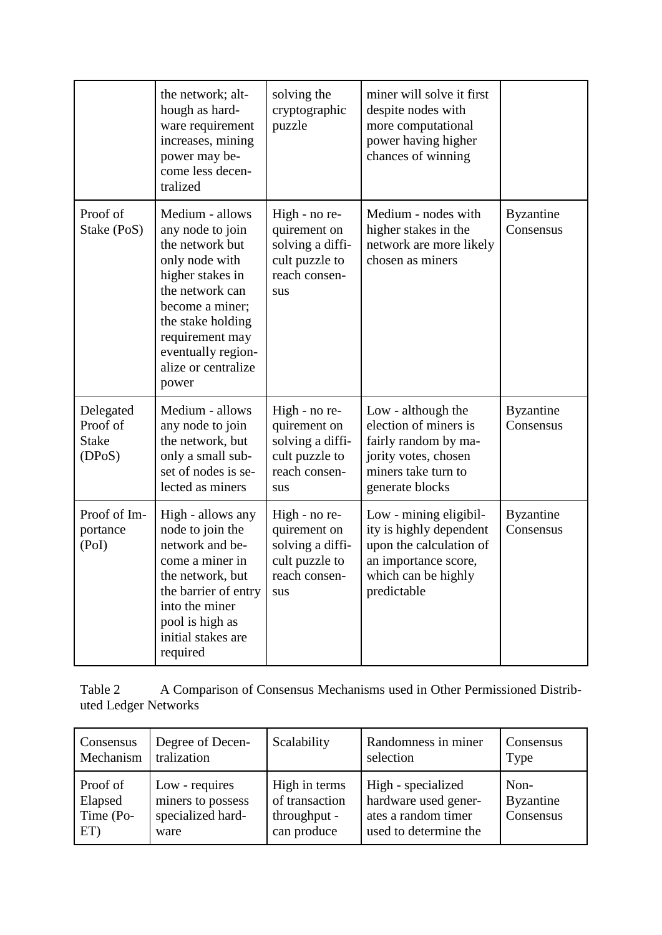|                                                 | the network; alt-<br>hough as hard-<br>ware requirement<br>increases, mining<br>power may be-<br>come less decen-<br>tralized                                                                                                    | solving the<br>cryptographic<br>puzzle                                                      | miner will solve it first<br>despite nodes with<br>more computational<br>power having higher<br>chances of winning                         |                               |
|-------------------------------------------------|----------------------------------------------------------------------------------------------------------------------------------------------------------------------------------------------------------------------------------|---------------------------------------------------------------------------------------------|--------------------------------------------------------------------------------------------------------------------------------------------|-------------------------------|
| Proof of<br>Stake (PoS)                         | Medium - allows<br>any node to join<br>the network but<br>only node with<br>higher stakes in<br>the network can<br>become a miner;<br>the stake holding<br>requirement may<br>eventually region-<br>alize or centralize<br>power | High - no re-<br>quirement on<br>solving a diffi-<br>cult puzzle to<br>reach consen-<br>sus | Medium - nodes with<br>higher stakes in the<br>network are more likely<br>chosen as miners                                                 | <b>Byzantine</b><br>Consensus |
| Delegated<br>Proof of<br><b>Stake</b><br>(DPos) | Medium - allows<br>any node to join<br>the network, but<br>only a small sub-<br>set of nodes is se-<br>lected as miners                                                                                                          | High - no re-<br>quirement on<br>solving a diffi-<br>cult puzzle to<br>reach consen-<br>sus | Low - although the<br>election of miners is<br>fairly random by ma-<br>jority votes, chosen<br>miners take turn to<br>generate blocks      | <b>Byzantine</b><br>Consensus |
| Proof of Im-<br>portance<br>(Pol)               | High - allows any<br>node to join the<br>network and be-<br>come a miner in<br>the network, but<br>the barrier of entry<br>into the miner<br>pool is high as<br>initial stakes are<br>required                                   | High - no re-<br>quirement on<br>solving a diffi-<br>cult puzzle to<br>reach consen-<br>sus | Low - mining eligibil-<br>ity is highly dependent<br>upon the calculation of<br>an importance score,<br>which can be highly<br>predictable | <b>Byzantine</b><br>Consensus |

Table 2 A Comparison of Consensus Mechanisms used in Other Permissioned Distributed Ledger Networks

| Consensus                               | Degree of Decen-                                                 | Scalability                                                    | Randomness in miner                                                                        | Consensus                      |
|-----------------------------------------|------------------------------------------------------------------|----------------------------------------------------------------|--------------------------------------------------------------------------------------------|--------------------------------|
| Mechanism                               | tralization                                                      |                                                                | selection                                                                                  | Type                           |
| Proof of<br>Elapsed<br>Time (Po-<br>ET) | Low - requires<br>miners to possess<br>specialized hard-<br>ware | High in terms<br>of transaction<br>throughput -<br>can produce | High - specialized<br>hardware used gener-<br>ates a random timer<br>used to determine the | Non-<br>Byzantine<br>Consensus |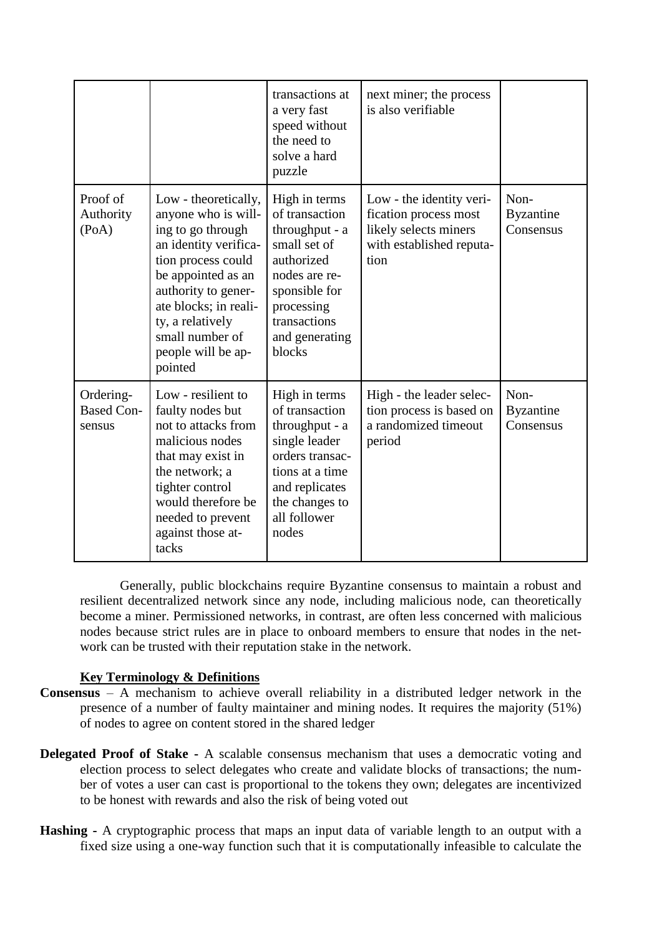|                                          |                                                                                                                                                                                                                                                               | transactions at<br>a very fast<br>speed without<br>the need to<br>solve a hard<br>puzzle                                                                                    | next miner; the process<br>is also verifiable                                                                  |                                       |
|------------------------------------------|---------------------------------------------------------------------------------------------------------------------------------------------------------------------------------------------------------------------------------------------------------------|-----------------------------------------------------------------------------------------------------------------------------------------------------------------------------|----------------------------------------------------------------------------------------------------------------|---------------------------------------|
| Proof of<br>Authority<br>(PoA)           | Low - theoretically,<br>anyone who is will-<br>ing to go through<br>an identity verifica-<br>tion process could<br>be appointed as an<br>authority to gener-<br>ate blocks; in reali-<br>ty, a relatively<br>small number of<br>people will be ap-<br>pointed | High in terms<br>of transaction<br>throughput - a<br>small set of<br>authorized<br>nodes are re-<br>sponsible for<br>processing<br>transactions<br>and generating<br>blocks | Low - the identity veri-<br>fication process most<br>likely selects miners<br>with established reputa-<br>tion | Non-<br><b>Byzantine</b><br>Consensus |
| Ordering-<br><b>Based Con-</b><br>sensus | Low - resilient to<br>faulty nodes but<br>not to attacks from<br>malicious nodes<br>that may exist in<br>the network; a<br>tighter control<br>would therefore be<br>needed to prevent<br>against those at-<br>tacks                                           | High in terms<br>of transaction<br>throughput - a<br>single leader<br>orders transac-<br>tions at a time<br>and replicates<br>the changes to<br>all follower<br>nodes       | High - the leader selec-<br>tion process is based on<br>a randomized timeout<br>period                         | Non-<br><b>Byzantine</b><br>Consensus |

Generally, public blockchains require Byzantine consensus to maintain a robust and resilient decentralized network since any node, including malicious node, can theoretically become a miner. Permissioned networks, in contrast, are often less concerned with malicious nodes because strict rules are in place to onboard members to ensure that nodes in the network can be trusted with their reputation stake in the network.

# **Key Terminology & Definitions**

- **Consensus**  A mechanism to achieve overall reliability in a distributed ledger network in the presence of a number of faulty maintainer and mining nodes. It requires the majority (51%) of nodes to agree on content stored in the shared ledger
- **Delegated Proof of Stake -** A scalable consensus mechanism that uses a democratic voting and election process to select delegates who create and validate blocks of transactions; the number of votes a user can cast is proportional to the tokens they own; delegates are incentivized to be honest with rewards and also the risk of being voted out
- **Hashing -** A cryptographic process that maps an input data of variable length to an output with a fixed size using a one-way function such that it is computationally infeasible to calculate the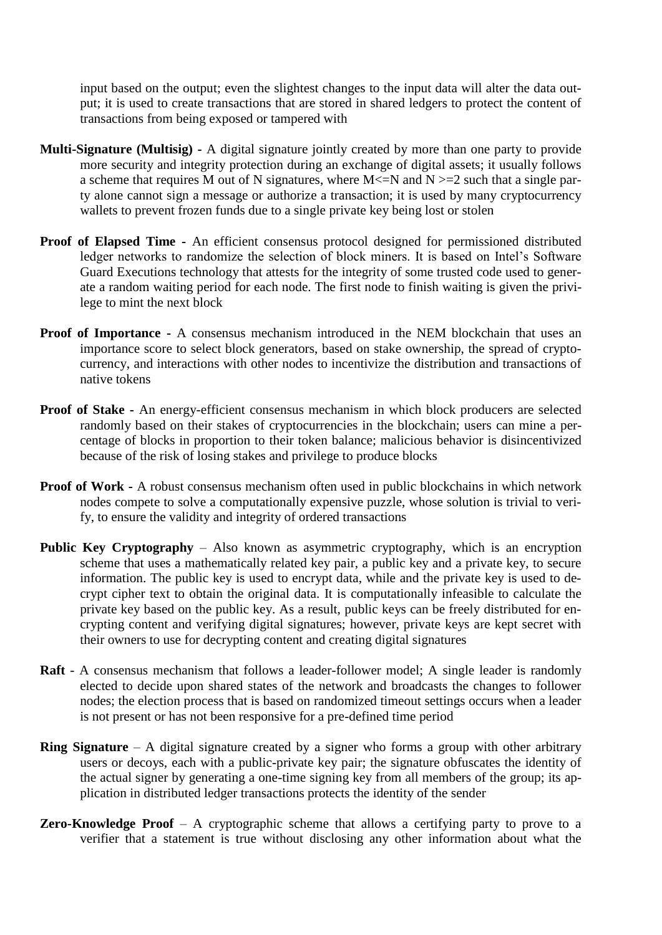input based on the output; even the slightest changes to the input data will alter the data output; it is used to create transactions that are stored in shared ledgers to protect the content of transactions from being exposed or tampered with

- **Multi-Signature (Multisig) -** A digital signature jointly created by more than one party to provide more security and integrity protection during an exchange of digital assets; it usually follows a scheme that requires M out of N signatures, where  $M \le N$  and  $N \ge 2$  such that a single party alone cannot sign a message or authorize a transaction; it is used by many cryptocurrency wallets to prevent frozen funds due to a single private key being lost or stolen
- **Proof of Elapsed Time -** An efficient consensus protocol designed for permissioned distributed ledger networks to randomize the selection of block miners. It is based on Intel's Software Guard Executions technology that attests for the integrity of some trusted code used to generate a random waiting period for each node. The first node to finish waiting is given the privilege to mint the next block
- **Proof of Importance -** A consensus mechanism introduced in the NEM blockchain that uses an importance score to select block generators, based on stake ownership, the spread of cryptocurrency, and interactions with other nodes to incentivize the distribution and transactions of native tokens
- **Proof of Stake -** An energy-efficient consensus mechanism in which block producers are selected randomly based on their stakes of cryptocurrencies in the blockchain; users can mine a percentage of blocks in proportion to their token balance; malicious behavior is disincentivized because of the risk of losing stakes and privilege to produce blocks
- **Proof of Work -** A robust consensus mechanism often used in public blockchains in which network nodes compete to solve a computationally expensive puzzle, whose solution is trivial to verify, to ensure the validity and integrity of ordered transactions
- **Public Key Cryptography** Also known as asymmetric cryptography, which is an encryption scheme that uses a mathematically related key pair, a public key and a private key, to secure information. The public key is used to encrypt data, while and the private key is used to decrypt cipher text to obtain the original data. It is computationally infeasible to calculate the private key based on the public key. As a result, public keys can be freely distributed for encrypting content and verifying digital signatures; however, private keys are kept secret with their owners to use for decrypting content and creating digital signatures
- **Raft** A consensus mechanism that follows a leader-follower model; A single leader is randomly elected to decide upon shared states of the network and broadcasts the changes to follower nodes; the election process that is based on randomized timeout settings occurs when a leader is not present or has not been responsive for a pre-defined time period
- **Ring Signature** A digital signature created by a signer who forms a group with other arbitrary users or decoys, each with a public-private key pair; the signature obfuscates the identity of the actual signer by generating a one-time signing key from all members of the group; its application in distributed ledger transactions protects the identity of the sender
- **Zero-Knowledge Proof** A cryptographic scheme that allows a certifying party to prove to a verifier that a statement is true without disclosing any other information about what the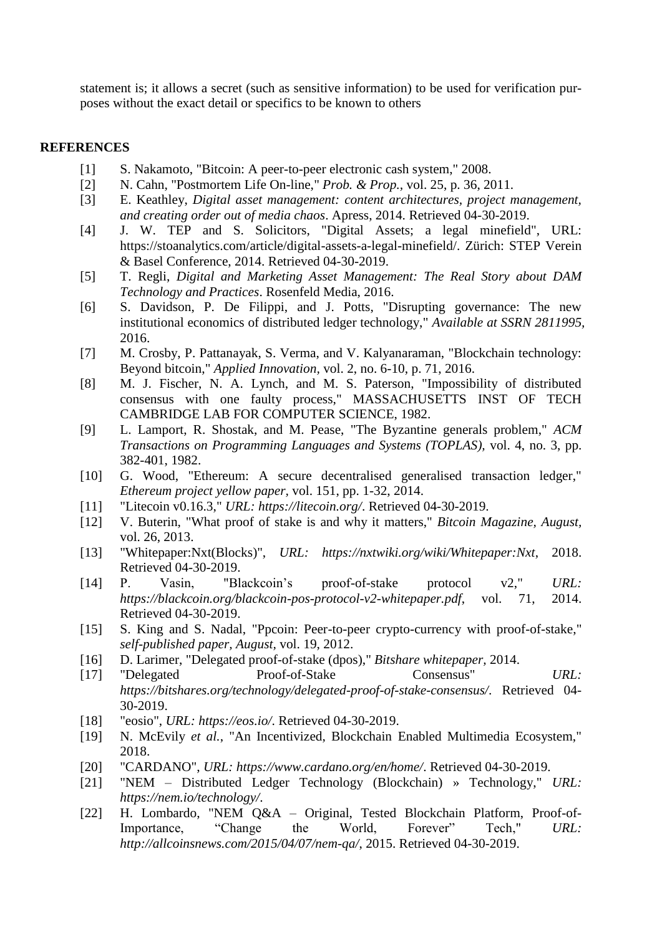statement is; it allows a secret (such as sensitive information) to be used for verification purposes without the exact detail or specifics to be known to others

#### **REFERENCES**

- [1] S. Nakamoto, "Bitcoin: A peer-to-peer electronic cash system," 2008.
- [2] N. Cahn, "Postmortem Life On-line," *Prob. & Prop.,* vol. 25, p. 36, 2011.
- [3] E. Keathley, *Digital asset management: content architectures, project management, and creating order out of media chaos*. Apress, 2014. Retrieved 04-30-2019.
- [4] J. W. TEP and S. Solicitors, "Digital Assets; a legal minefield", URL: https://stoanalytics.com/article/digital-assets-a-legal-minefield/. Zürich: STEP Verein & Basel Conference, 2014. Retrieved 04-30-2019.
- [5] T. Regli, *Digital and Marketing Asset Management: The Real Story about DAM Technology and Practices*. Rosenfeld Media, 2016.
- [6] S. Davidson, P. De Filippi, and J. Potts, "Disrupting governance: The new institutional economics of distributed ledger technology," *Available at SSRN 2811995,*  2016.
- [7] M. Crosby, P. Pattanayak, S. Verma, and V. Kalyanaraman, "Blockchain technology: Beyond bitcoin," *Applied Innovation,* vol. 2, no. 6-10, p. 71, 2016.
- [8] M. J. Fischer, N. A. Lynch, and M. S. Paterson, "Impossibility of distributed consensus with one faulty process," MASSACHUSETTS INST OF TECH CAMBRIDGE LAB FOR COMPUTER SCIENCE, 1982.
- [9] L. Lamport, R. Shostak, and M. Pease, "The Byzantine generals problem," *ACM Transactions on Programming Languages and Systems (TOPLAS),* vol. 4, no. 3, pp. 382-401, 1982.
- [10] G. Wood, "Ethereum: A secure decentralised generalised transaction ledger," *Ethereum project yellow paper,* vol. 151, pp. 1-32, 2014.
- [11] "Litecoin v0.16.3," *URL: https://litecoin.org/*. Retrieved 04-30-2019.
- [12] V. Buterin, "What proof of stake is and why it matters," *Bitcoin Magazine, August,*  vol. 26, 2013.
- [13] "Whitepaper:Nxt(Blocks)", *URL: https://nxtwiki.org/wiki/Whitepaper:Nxt*, 2018. Retrieved 04-30-2019.
- [14] P. Vasin, "Blackcoin's proof-of-stake protocol v2," *URL: https://blackcoin.org/blackcoin-pos-protocol-v2-whitepaper.pdf*, vol. 71, 2014. Retrieved 04-30-2019.
- [15] S. King and S. Nadal, "Ppcoin: Peer-to-peer crypto-currency with proof-of-stake," *self-published paper, August,* vol. 19, 2012.
- [16] D. Larimer, "Delegated proof-of-stake (dpos)," *Bitshare whitepaper,* 2014.
- [17] "Delegated Proof-of-Stake Consensus" *URL: https://bitshares.org/technology/delegated-proof-of-stake-consensus/*. Retrieved 04- 30-2019.
- [18] "eosio", *URL: https://eos.io/*. Retrieved 04-30-2019.
- [19] N. McEvily *et al.*, "An Incentivized, Blockchain Enabled Multimedia Ecosystem," 2018.
- [20] "CARDANO", *URL: https://www.cardano.org/en/home/*. Retrieved 04-30-2019.
- [21] "NEM Distributed Ledger Technology (Blockchain) » Technology," *URL: https://nem.io/technology/*.
- [22] H. Lombardo, "NEM Q&A Original, Tested Blockchain Platform, Proof-of-Importance, "Change the World, Forever" Tech," *URL: http://allcoinsnews.com/2015/04/07/nem-qa/*, 2015. Retrieved 04-30-2019.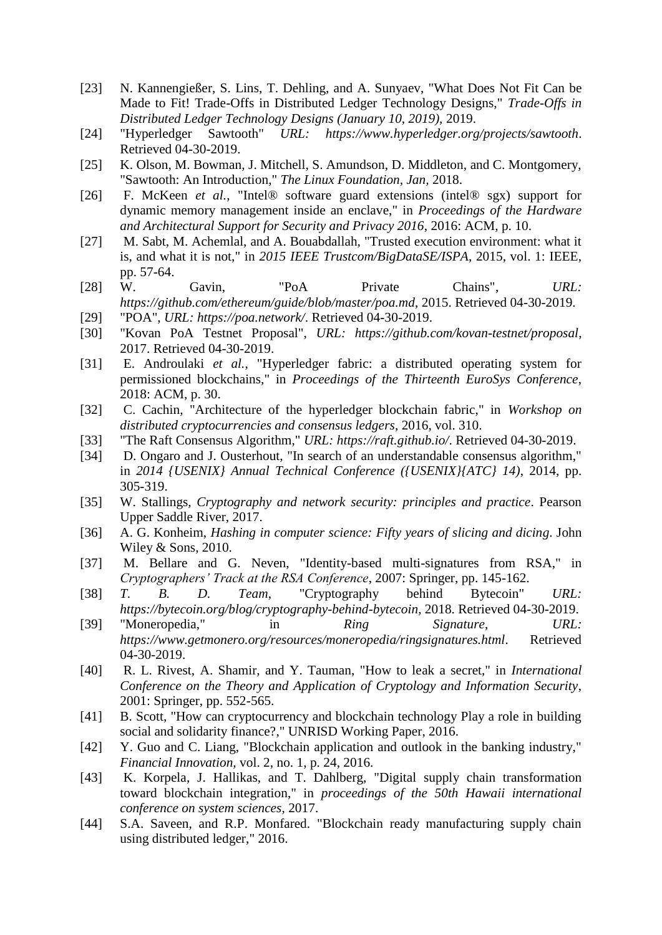- [23] N. Kannengießer, S. Lins, T. Dehling, and A. Sunyaev, "What Does Not Fit Can be Made to Fit! Trade-Offs in Distributed Ledger Technology Designs," *Trade-Offs in Distributed Ledger Technology Designs (January 10, 2019),* 2019.
- [24] "Hyperledger Sawtooth" *URL: https://www.hyperledger.org/projects/sawtooth*. Retrieved 04-30-2019.
- [25] K. Olson, M. Bowman, J. Mitchell, S. Amundson, D. Middleton, and C. Montgomery, "Sawtooth: An Introduction," *The Linux Foundation, Jan,* 2018.
- [26] F. McKeen *et al.*, "Intel® software guard extensions (intel® sgx) support for dynamic memory management inside an enclave," in *Proceedings of the Hardware and Architectural Support for Security and Privacy 2016*, 2016: ACM, p. 10.
- [27] M. Sabt, M. Achemlal, and A. Bouabdallah, "Trusted execution environment: what it is, and what it is not," in *2015 IEEE Trustcom/BigDataSE/ISPA*, 2015, vol. 1: IEEE, pp. 57-64.
- [28] W. Gavin, "PoA Private Chains", *URL: https://github.com/ethereum/guide/blob/master/poa.md*, 2015. Retrieved 04-30-2019.
- [29] "POA", *URL: https://poa.network/*. Retrieved 04-30-2019.
- [30] "Kovan PoA Testnet Proposal", *URL: https://github.com/kovan-testnet/proposal*, 2017. Retrieved 04-30-2019.
- [31] E. Androulaki *et al.*, "Hyperledger fabric: a distributed operating system for permissioned blockchains," in *Proceedings of the Thirteenth EuroSys Conference*, 2018: ACM, p. 30.
- [32] C. Cachin, "Architecture of the hyperledger blockchain fabric," in *Workshop on distributed cryptocurrencies and consensus ledgers*, 2016, vol. 310.
- [33] "The Raft Consensus Algorithm," *URL: https://raft.github.io/*. Retrieved 04-30-2019.
- [34] D. Ongaro and J. Ousterhout, "In search of an understandable consensus algorithm," in *2014 {USENIX} Annual Technical Conference ({USENIX}{ATC} 14)*, 2014, pp. 305-319.
- [35] W. Stallings, *Cryptography and network security: principles and practice*. Pearson Upper Saddle River, 2017.
- [36] A. G. Konheim, *Hashing in computer science: Fifty years of slicing and dicing*. John Wiley & Sons, 2010.
- [37] M. Bellare and G. Neven, "Identity-based multi-signatures from RSA," in *Cryptographers' Track at the RSA Conference*, 2007: Springer, pp. 145-162.
- [38] *T. B. D. Team*, "Cryptography behind Bytecoin" *URL: https://bytecoin.org/blog/cryptography-behind-bytecoin*, 2018. Retrieved 04-30-2019.
- [39] "Moneropedia," in *Ring Signature*, *URL: https://www.getmonero.org/resources/moneropedia/ringsignatures.html*. Retrieved 04-30-2019.
- [40] R. L. Rivest, A. Shamir, and Y. Tauman, "How to leak a secret," in *International Conference on the Theory and Application of Cryptology and Information Security*, 2001: Springer, pp. 552-565.
- [41] B. Scott, "How can cryptocurrency and blockchain technology Play a role in building social and solidarity finance?," UNRISD Working Paper, 2016.
- [42] Y. Guo and C. Liang, "Blockchain application and outlook in the banking industry," *Financial Innovation,* vol. 2, no. 1, p. 24, 2016.
- [43] K. Korpela, J. Hallikas, and T. Dahlberg, "Digital supply chain transformation toward blockchain integration," in *proceedings of the 50th Hawaii international conference on system sciences*, 2017.
- [44] S.A. Saveen, and R.P. Monfared. "Blockchain ready manufacturing supply chain using distributed ledger," 2016.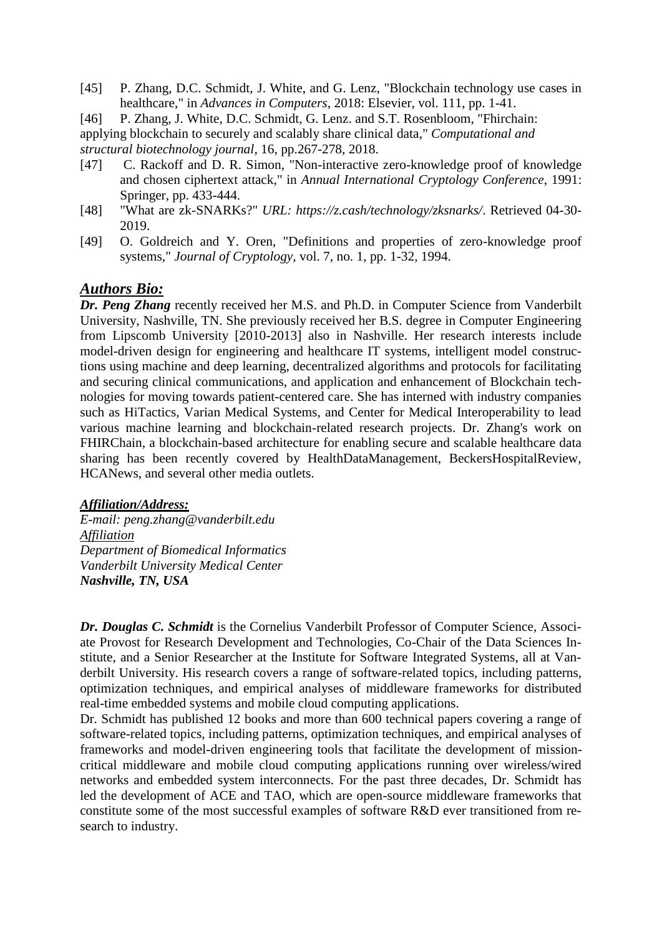[45] P. Zhang, D.C. Schmidt, J. White, and G. Lenz, "Blockchain technology use cases in healthcare," in *Advances in Computers*, 2018: Elsevier, vol. 111, pp. 1-41.

[46] P. Zhang, J. White, D.C. Schmidt, G. Lenz. and S.T. Rosenbloom, "Fhirchain: applying blockchain to securely and scalably share clinical data," *Computational and structural biotechnology journal*, 16, pp.267-278, 2018.

- [47] C. Rackoff and D. R. Simon, "Non-interactive zero-knowledge proof of knowledge and chosen ciphertext attack," in *Annual International Cryptology Conference*, 1991: Springer, pp. 433-444.
- [48] "What are zk-SNARKs?" *URL: https://z.cash/technology/zksnarks/*. Retrieved 04-30- 2019.
- [49] O. Goldreich and Y. Oren, "Definitions and properties of zero-knowledge proof systems," *Journal of Cryptology,* vol. 7, no. 1, pp. 1-32, 1994.

# *Authors Bio:*

*Dr. Peng Zhang* recently received her M.S. and Ph.D. in Computer Science from Vanderbilt University, Nashville, TN. She previously received her B.S. degree in Computer Engineering from Lipscomb University [2010-2013] also in Nashville. Her research interests include model-driven design for engineering and healthcare IT systems, intelligent model constructions using machine and deep learning, decentralized algorithms and protocols for facilitating and securing clinical communications, and application and enhancement of Blockchain technologies for moving towards patient-centered care. She has interned with industry companies such as HiTactics, Varian Medical Systems, and Center for Medical Interoperability to lead various machine learning and blockchain-related research projects. Dr. Zhang's work on FHIRChain, a blockchain-based architecture for enabling secure and scalable healthcare data sharing has been recently covered by HealthDataManagement, BeckersHospitalReview, HCANews, and several other media outlets.

# *Affiliation/Address:*

*E-mail: peng.zhang@vanderbilt.edu Affiliation Department of Biomedical Informatics Vanderbilt University Medical Center Nashville, TN, USA*

*Dr. Douglas C. Schmidt* is the Cornelius Vanderbilt Professor of Computer Science, Associate Provost for Research Development and Technologies, Co-Chair of the Data Sciences Institute, and a Senior Researcher at the Institute for Software Integrated Systems, all at Vanderbilt University. His research covers a range of software-related topics, including patterns, optimization techniques, and empirical analyses of middleware frameworks for distributed real-time embedded systems and mobile cloud computing applications.

Dr. Schmidt has published 12 books and more than 600 technical papers covering a range of software-related topics, including patterns, optimization techniques, and empirical analyses of frameworks and model-driven engineering tools that facilitate the development of missioncritical middleware and mobile cloud computing applications running over wireless/wired networks and embedded system interconnects. For the past three decades, Dr. Schmidt has led the development of ACE and TAO, which are open-source middleware frameworks that constitute some of the most successful examples of software R&D ever transitioned from research to industry.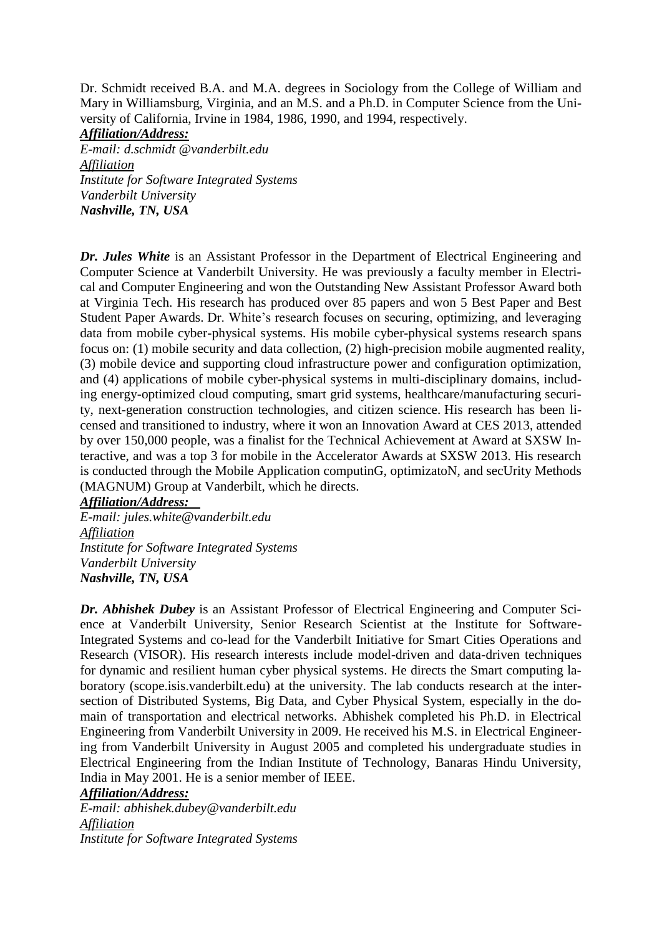Dr. Schmidt received B.A. and M.A. degrees in Sociology from the College of William and Mary in Williamsburg, Virginia, and an M.S. and a Ph.D. in Computer Science from the University of California, Irvine in 1984, 1986, 1990, and 1994, respectively.

### *Affiliation/Address:*

*E-mail: d.schmidt @vanderbilt.edu Affiliation Institute for Software Integrated Systems Vanderbilt University Nashville, TN, USA*

*Dr. Jules White* is an Assistant Professor in the Department of Electrical Engineering and Computer Science at Vanderbilt University. He was previously a faculty member in Electrical and Computer Engineering and won the Outstanding New Assistant Professor Award both at Virginia Tech. His research has produced over 85 papers and won 5 Best Paper and Best Student Paper Awards. Dr. White's research focuses on securing, optimizing, and leveraging data from mobile cyber-physical systems. His mobile cyber-physical systems research spans focus on: (1) mobile security and data collection, (2) high-precision mobile augmented reality, (3) mobile device and supporting cloud infrastructure power and configuration optimization, and (4) applications of mobile cyber-physical systems in multi-disciplinary domains, including energy-optimized cloud computing, smart grid systems, healthcare/manufacturing security, next-generation construction technologies, and citizen science. His research has been licensed and transitioned to industry, where it won an Innovation Award at CES 2013, attended by over 150,000 people, was a finalist for the Technical Achievement at Award at SXSW Interactive, and was a top 3 for mobile in the Accelerator Awards at SXSW 2013. His research is conducted through the Mobile Application computinG, optimizatoN, and secUrity Methods (MAGNUM) Group at Vanderbilt, which he directs.

# *Affiliation/Address:*

*E-mail: jules.white@vanderbilt.edu Affiliation Institute for Software Integrated Systems Vanderbilt University Nashville, TN, USA*

*Dr. Abhishek Dubey* is an Assistant Professor of Electrical Engineering and Computer Science at Vanderbilt University, Senior Research Scientist at the Institute for Software-Integrated Systems and co-lead for the Vanderbilt Initiative for Smart Cities Operations and Research (VISOR). His research interests include model-driven and data-driven techniques for dynamic and resilient human cyber physical systems. He directs the Smart computing laboratory (scope.isis.vanderbilt.edu) at the university. The lab conducts research at the intersection of Distributed Systems, Big Data, and Cyber Physical System, especially in the domain of transportation and electrical networks. Abhishek completed his Ph.D. in Electrical Engineering from Vanderbilt University in 2009. He received his M.S. in Electrical Engineering from Vanderbilt University in August 2005 and completed his undergraduate studies in Electrical Engineering from the Indian Institute of Technology, Banaras Hindu University, India in May 2001. He is a senior member of IEEE.

### *Affiliation/Address:*

*E-mail: abhishek.dubey@vanderbilt.edu Affiliation Institute for Software Integrated Systems*